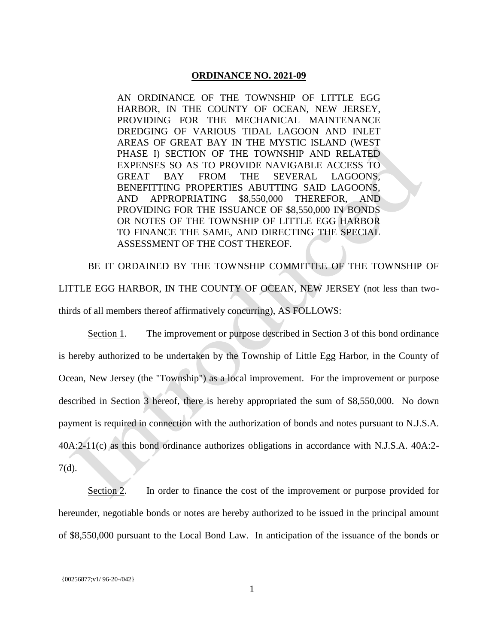## **ORDINANCE NO. 2021-09**

AN ORDINANCE OF THE TOWNSHIP OF LITTLE EGG HARBOR, IN THE COUNTY OF OCEAN, NEW JERSEY, PROVIDING FOR THE MECHANICAL MAINTENANCE DREDGING OF VARIOUS TIDAL LAGOON AND INLET AREAS OF GREAT BAY IN THE MYSTIC ISLAND (WEST PHASE I) SECTION OF THE TOWNSHIP AND RELATED EXPENSES SO AS TO PROVIDE NAVIGABLE ACCESS TO GREAT BAY FROM THE SEVERAL LAGOONS, BENEFITTING PROPERTIES ABUTTING SAID LAGOONS, AND APPROPRIATING \$8,550,000 THEREFOR, AND PROVIDING FOR THE ISSUANCE OF \$8,550,000 IN BONDS OR NOTES OF THE TOWNSHIP OF LITTLE EGG HARBOR TO FINANCE THE SAME, AND DIRECTING THE SPECIAL ASSESSMENT OF THE COST THEREOF.

BE IT ORDAINED BY THE TOWNSHIP COMMITTEE OF THE TOWNSHIP OF LITTLE EGG HARBOR, IN THE COUNTY OF OCEAN, NEW JERSEY (not less than twothirds of all members thereof affirmatively concurring), AS FOLLOWS:

Section 1. The improvement or purpose described in Section 3 of this bond ordinance is hereby authorized to be undertaken by the Township of Little Egg Harbor, in the County of Ocean, New Jersey (the "Township") as a local improvement. For the improvement or purpose described in Section 3 hereof, there is hereby appropriated the sum of \$8,550,000. No down payment is required in connection with the authorization of bonds and notes pursuant to N.J.S.A. 40A:2-11(c) as this bond ordinance authorizes obligations in accordance with N.J.S.A. 40A:2- 7(d).

Section 2. In order to finance the cost of the improvement or purpose provided for hereunder, negotiable bonds or notes are hereby authorized to be issued in the principal amount of \$8,550,000 pursuant to the Local Bond Law. In anticipation of the issuance of the bonds or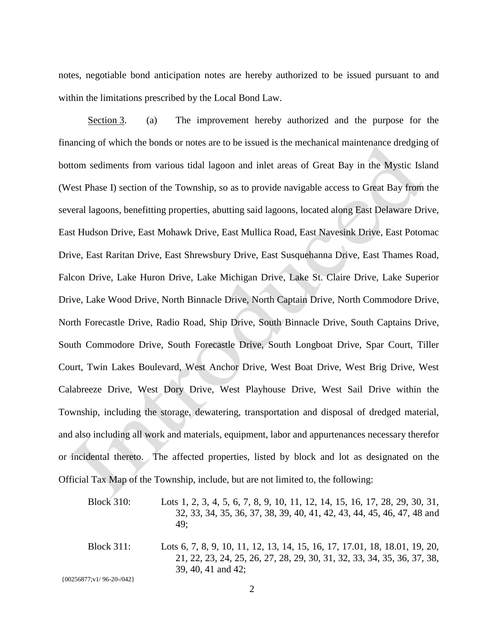notes, negotiable bond anticipation notes are hereby authorized to be issued pursuant to and within the limitations prescribed by the Local Bond Law.

Section 3. (a) The improvement hereby authorized and the purpose for the financing of which the bonds or notes are to be issued is the mechanical maintenance dredging of bottom sediments from various tidal lagoon and inlet areas of Great Bay in the Mystic Island (West Phase I) section of the Township, so as to provide navigable access to Great Bay from the several lagoons, benefitting properties, abutting said lagoons, located along East Delaware Drive, East Hudson Drive, East Mohawk Drive, East Mullica Road, East Navesink Drive, East Potomac Drive, East Raritan Drive, East Shrewsbury Drive, East Susquehanna Drive, East Thames Road, Falcon Drive, Lake Huron Drive, Lake Michigan Drive, Lake St. Claire Drive, Lake Superior Drive, Lake Wood Drive, North Binnacle Drive, North Captain Drive, North Commodore Drive, North Forecastle Drive, Radio Road, Ship Drive, South Binnacle Drive, South Captains Drive, South Commodore Drive, South Forecastle Drive, South Longboat Drive, Spar Court, Tiller Court, Twin Lakes Boulevard, West Anchor Drive, West Boat Drive, West Brig Drive, West Calabreeze Drive, West Dory Drive, West Playhouse Drive, West Sail Drive within the Township, including the storage, dewatering, transportation and disposal of dredged material, and also including all work and materials, equipment, labor and appurtenances necessary therefor or incidental thereto. The affected properties, listed by block and lot as designated on the Official Tax Map of the Township, include, but are not limited to, the following:

Block 310: Lots 1, 2, 3, 4, 5, 6, 7, 8, 9, 10, 11, 12, 14, 15, 16, 17, 28, 29, 30, 31, 32, 33, 34, 35, 36, 37, 38, 39, 40, 41, 42, 43, 44, 45, 46, 47, 48 and 49; Block 311: Lots 6, 7, 8, 9, 10, 11, 12, 13, 14, 15, 16, 17, 17.01, 18, 18.01, 19, 20, 21, 22, 23, 24, 25, 26, 27, 28, 29, 30, 31, 32, 33, 34, 35, 36, 37, 38, 39, 40, 41 and 42;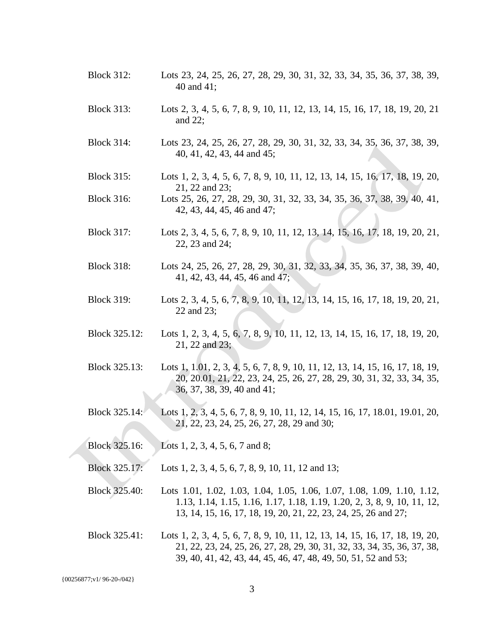- Block 312: Lots 23, 24, 25, 26, 27, 28, 29, 30, 31, 32, 33, 34, 35, 36, 37, 38, 39, 40 and 41;
- Block 313: Lots 2, 3, 4, 5, 6, 7, 8, 9, 10, 11, 12, 13, 14, 15, 16, 17, 18, 19, 20, 21 and 22;
- Block 314: Lots 23, 24, 25, 26, 27, 28, 29, 30, 31, 32, 33, 34, 35, 36, 37, 38, 39, 40, 41, 42, 43, 44 and 45;
- Block 315: Lots 1, 2, 3, 4, 5, 6, 7, 8, 9, 10, 11, 12, 13, 14, 15, 16, 17, 18, 19, 20, 21, 22 and 23;
- Block 316: Lots 25, 26, 27, 28, 29, 30, 31, 32, 33, 34, 35, 36, 37, 38, 39, 40, 41, 42, 43, 44, 45, 46 and 47;
- Block 317: Lots 2, 3, 4, 5, 6, 7, 8, 9, 10, 11, 12, 13, 14, 15, 16, 17, 18, 19, 20, 21, 22, 23 and 24;
- Block 318: Lots 24, 25, 26, 27, 28, 29, 30, 31, 32, 33, 34, 35, 36, 37, 38, 39, 40, 41, 42, 43, 44, 45, 46 and 47;
- Block 319: Lots 2, 3, 4, 5, 6, 7, 8, 9, 10, 11, 12, 13, 14, 15, 16, 17, 18, 19, 20, 21, 22 and 23;
- Block 325.12: Lots 1, 2, 3, 4, 5, 6, 7, 8, 9, 10, 11, 12, 13, 14, 15, 16, 17, 18, 19, 20, 21, 22 and 23;
- Block 325.13: Lots 1, 1.01, 2, 3, 4, 5, 6, 7, 8, 9, 10, 11, 12, 13, 14, 15, 16, 17, 18, 19, 20, 20.01, 21, 22, 23, 24, 25, 26, 27, 28, 29, 30, 31, 32, 33, 34, 35, 36, 37, 38, 39, 40 and 41;
- Block 325.14: Lots 1, 2, 3, 4, 5, 6, 7, 8, 9, 10, 11, 12, 14, 15, 16, 17, 18.01, 19.01, 20, 21, 22, 23, 24, 25, 26, 27, 28, 29 and 30;
- Block 325.16: Lots 1, 2, 3, 4, 5, 6, 7 and 8;
- Block 325.17: Lots 1, 2, 3, 4, 5, 6, 7, 8, 9, 10, 11, 12 and 13;
- Block 325.40: Lots 1.01, 1.02, 1.03, 1.04, 1.05, 1.06, 1.07, 1.08, 1.09, 1.10, 1.12, 1.13, 1.14, 1.15, 1.16, 1.17, 1.18, 1.19, 1.20, 2, 3, 8, 9, 10, 11, 12, 13, 14, 15, 16, 17, 18, 19, 20, 21, 22, 23, 24, 25, 26 and 27;
- Block 325.41: Lots 1, 2, 3, 4, 5, 6, 7, 8, 9, 10, 11, 12, 13, 14, 15, 16, 17, 18, 19, 20, 21, 22, 23, 24, 25, 26, 27, 28, 29, 30, 31, 32, 33, 34, 35, 36, 37, 38, 39, 40, 41, 42, 43, 44, 45, 46, 47, 48, 49, 50, 51, 52 and 53;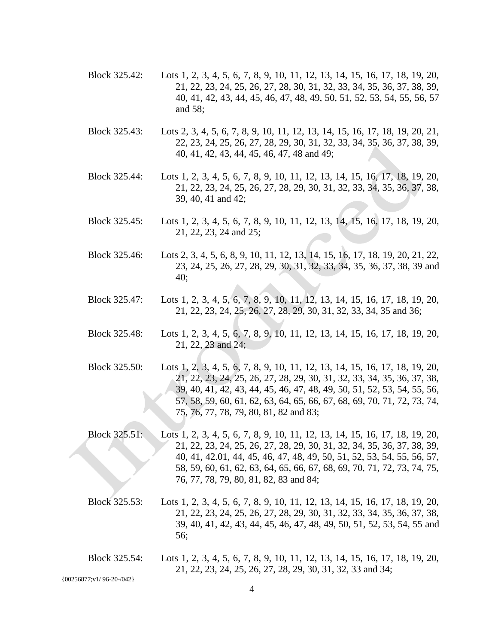- Block 325.42: Lots 1, 2, 3, 4, 5, 6, 7, 8, 9, 10, 11, 12, 13, 14, 15, 16, 17, 18, 19, 20, 21, 22, 23, 24, 25, 26, 27, 28, 30, 31, 32, 33, 34, 35, 36, 37, 38, 39, 40, 41, 42, 43, 44, 45, 46, 47, 48, 49, 50, 51, 52, 53, 54, 55, 56, 57 and 58;
- Block 325.43: Lots 2, 3, 4, 5, 6, 7, 8, 9, 10, 11, 12, 13, 14, 15, 16, 17, 18, 19, 20, 21, 22, 23, 24, 25, 26, 27, 28, 29, 30, 31, 32, 33, 34, 35, 36, 37, 38, 39, 40, 41, 42, 43, 44, 45, 46, 47, 48 and 49;
- Block 325.44: Lots 1, 2, 3, 4, 5, 6, 7, 8, 9, 10, 11, 12, 13, 14, 15, 16, 17, 18, 19, 20, 21, 22, 23, 24, 25, 26, 27, 28, 29, 30, 31, 32, 33, 34, 35, 36, 37, 38, 39, 40, 41 and 42;
- Block 325.45: Lots 1, 2, 3, 4, 5, 6, 7, 8, 9, 10, 11, 12, 13, 14, 15, 16, 17, 18, 19, 20, 21, 22, 23, 24 and 25;
- Block 325.46: Lots 2, 3, 4, 5, 6, 8, 9, 10, 11, 12, 13, 14, 15, 16, 17, 18, 19, 20, 21, 22, 23, 24, 25, 26, 27, 28, 29, 30, 31, 32, 33, 34, 35, 36, 37, 38, 39 and 40;
- Block 325.47: Lots 1, 2, 3, 4, 5, 6, 7, 8, 9, 10, 11, 12, 13, 14, 15, 16, 17, 18, 19, 20, 21, 22, 23, 24, 25, 26, 27, 28, 29, 30, 31, 32, 33, 34, 35 and 36;
- Block 325.48: Lots 1, 2, 3, 4, 5, 6, 7, 8, 9, 10, 11, 12, 13, 14, 15, 16, 17, 18, 19, 20, 21, 22, 23 and 24;
- Block 325.50: Lots 1, 2, 3, 4, 5, 6, 7, 8, 9, 10, 11, 12, 13, 14, 15, 16, 17, 18, 19, 20, 21, 22, 23, 24, 25, 26, 27, 28, 29, 30, 31, 32, 33, 34, 35, 36, 37, 38, 39, 40, 41, 42, 43, 44, 45, 46, 47, 48, 49, 50, 51, 52, 53, 54, 55, 56, 57, 58, 59, 60, 61, 62, 63, 64, 65, 66, 67, 68, 69, 70, 71, 72, 73, 74, 75, 76, 77, 78, 79, 80, 81, 82 and 83;
- Block 325.51: Lots 1, 2, 3, 4, 5, 6, 7, 8, 9, 10, 11, 12, 13, 14, 15, 16, 17, 18, 19, 20, 21, 22, 23, 24, 25, 26, 27, 28, 29, 30, 31, 32, 34, 35, 36, 37, 38, 39, 40, 41, 42.01, 44, 45, 46, 47, 48, 49, 50, 51, 52, 53, 54, 55, 56, 57, 58, 59, 60, 61, 62, 63, 64, 65, 66, 67, 68, 69, 70, 71, 72, 73, 74, 75, 76, 77, 78, 79, 80, 81, 82, 83 and 84;
- Block 325.53: Lots 1, 2, 3, 4, 5, 6, 7, 8, 9, 10, 11, 12, 13, 14, 15, 16, 17, 18, 19, 20, 21, 22, 23, 24, 25, 26, 27, 28, 29, 30, 31, 32, 33, 34, 35, 36, 37, 38, 39, 40, 41, 42, 43, 44, 45, 46, 47, 48, 49, 50, 51, 52, 53, 54, 55 and 56;
- Block 325.54: Lots 1, 2, 3, 4, 5, 6, 7, 8, 9, 10, 11, 12, 13, 14, 15, 16, 17, 18, 19, 20, 21, 22, 23, 24, 25, 26, 27, 28, 29, 30, 31, 32, 33 and 34;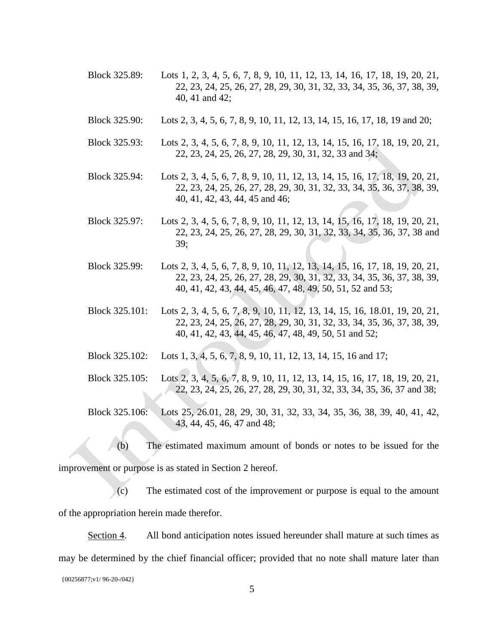- Block 325.89: Lots 1, 2, 3, 4, 5, 6, 7, 8, 9, 10, 11, 12, 13, 14, 16, 17, 18, 19, 20, 21, 22, 23, 24, 25, 26, 27, 28, 29, 30, 31, 32, 33, 34, 35, 36, 37, 38, 39, 40, 41 and 42;
- Block 325.90: Lots 2, 3, 4, 5, 6, 7, 8, 9, 10, 11, 12, 13, 14, 15, 16, 17, 18, 19 and 20;
- Block 325.93: Lots 2, 3, 4, 5, 6, 7, 8, 9, 10, 11, 12, 13, 14, 15, 16, 17, 18, 19, 20, 21, 22, 23, 24, 25, 26, 27, 28, 29, 30, 31, 32, 33 and 34;
- Block 325.94: Lots 2, 3, 4, 5, 6, 7, 8, 9, 10, 11, 12, 13, 14, 15, 16, 17, 18, 19, 20, 21, 22, 23, 24, 25, 26, 27, 28, 29, 30, 31, 32, 33, 34, 35, 36, 37, 38, 39, 40, 41, 42, 43, 44, 45 and 46;
- Block 325.97: Lots 2, 3, 4, 5, 6, 7, 8, 9, 10, 11, 12, 13, 14, 15, 16, 17, 18, 19, 20, 21, 22, 23, 24, 25, 26, 27, 28, 29, 30, 31, 32, 33, 34, 35, 36, 37, 38 and 39;
- Block 325.99: Lots 2, 3, 4, 5, 6, 7, 8, 9, 10, 11, 12, 13, 14, 15, 16, 17, 18, 19, 20, 21, 22, 23, 24, 25, 26, 27, 28, 29, 30, 31, 32, 33, 34, 35, 36, 37, 38, 39, 40, 41, 42, 43, 44, 45, 46, 47, 48, 49, 50, 51, 52 and 53;
- Block 325.101: Lots 2, 3, 4, 5, 6, 7, 8, 9, 10, 11, 12, 13, 14, 15, 16, 18.01, 19, 20, 21, 22, 23, 24, 25, 26, 27, 28, 29, 30, 31, 32, 33, 34, 35, 36, 37, 38, 39, 40, 41, 42, 43, 44, 45, 46, 47, 48, 49, 50, 51 and 52;
- Block 325.102: Lots 1, 3, 4, 5, 6, 7, 8, 9, 10, 11, 12, 13, 14, 15, 16 and 17;
- Block 325.105: Lots 2, 3, 4, 5, 6, 7, 8, 9, 10, 11, 12, 13, 14, 15, 16, 17, 18, 19, 20, 21, 22, 23, 24, 25, 26, 27, 28, 29, 30, 31, 32, 33, 34, 35, 36, 37 and 38;
- Block 325.106: Lots 25, 26.01, 28, 29, 30, 31, 32, 33, 34, 35, 36, 38, 39, 40, 41, 42, 43, 44, 45, 46, 47 and 48;
	- (b) The estimated maximum amount of bonds or notes to be issued for the

improvement or purpose is as stated in Section 2 hereof.

(c) The estimated cost of the improvement or purpose is equal to the amount of the appropriation herein made therefor.

Section 4. All bond anticipation notes issued hereunder shall mature at such times as may be determined by the chief financial officer; provided that no note shall mature later than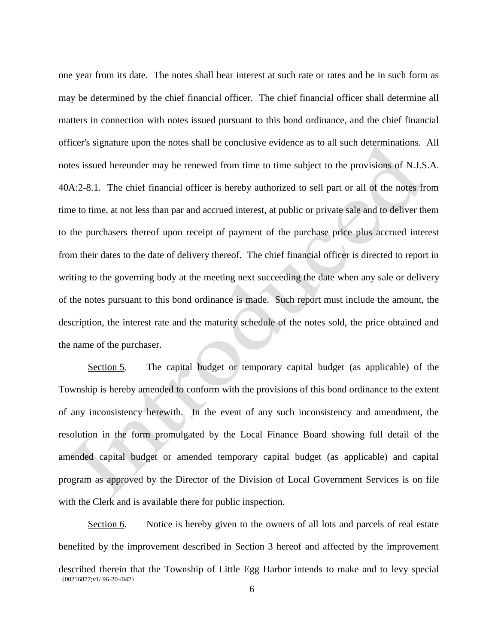one year from its date. The notes shall bear interest at such rate or rates and be in such form as may be determined by the chief financial officer. The chief financial officer shall determine all matters in connection with notes issued pursuant to this bond ordinance, and the chief financial officer's signature upon the notes shall be conclusive evidence as to all such determinations. All notes issued hereunder may be renewed from time to time subject to the provisions of N.J.S.A. 40A:2-8.1. The chief financial officer is hereby authorized to sell part or all of the notes from time to time, at not less than par and accrued interest, at public or private sale and to deliver them to the purchasers thereof upon receipt of payment of the purchase price plus accrued interest from their dates to the date of delivery thereof. The chief financial officer is directed to report in writing to the governing body at the meeting next succeeding the date when any sale or delivery of the notes pursuant to this bond ordinance is made. Such report must include the amount, the description, the interest rate and the maturity schedule of the notes sold, the price obtained and the name of the purchaser.

Section 5. The capital budget or temporary capital budget (as applicable) of the Township is hereby amended to conform with the provisions of this bond ordinance to the extent of any inconsistency herewith. In the event of any such inconsistency and amendment, the resolution in the form promulgated by the Local Finance Board showing full detail of the amended capital budget or amended temporary capital budget (as applicable) and capital program as approved by the Director of the Division of Local Government Services is on file with the Clerk and is available there for public inspection.

{00256877;v1/ 96-20-/042} Section 6. Notice is hereby given to the owners of all lots and parcels of real estate benefited by the improvement described in Section 3 hereof and affected by the improvement described therein that the Township of Little Egg Harbor intends to make and to levy special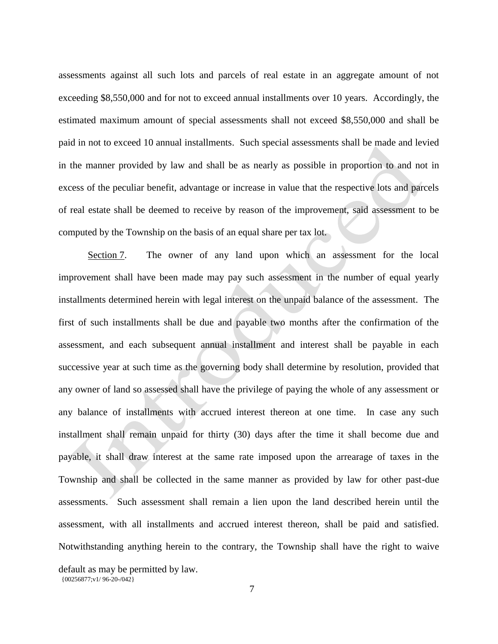assessments against all such lots and parcels of real estate in an aggregate amount of not exceeding \$8,550,000 and for not to exceed annual installments over 10 years. Accordingly, the estimated maximum amount of special assessments shall not exceed \$8,550,000 and shall be paid in not to exceed 10 annual installments. Such special assessments shall be made and levied in the manner provided by law and shall be as nearly as possible in proportion to and not in excess of the peculiar benefit, advantage or increase in value that the respective lots and parcels of real estate shall be deemed to receive by reason of the improvement, said assessment to be computed by the Township on the basis of an equal share per tax lot.

Section 7. The owner of any land upon which an assessment for the local improvement shall have been made may pay such assessment in the number of equal yearly installments determined herein with legal interest on the unpaid balance of the assessment. The first of such installments shall be due and payable two months after the confirmation of the assessment, and each subsequent annual installment and interest shall be payable in each successive year at such time as the governing body shall determine by resolution, provided that any owner of land so assessed shall have the privilege of paying the whole of any assessment or any balance of installments with accrued interest thereon at one time. In case any such installment shall remain unpaid for thirty (30) days after the time it shall become due and payable, it shall draw interest at the same rate imposed upon the arrearage of taxes in the Township and shall be collected in the same manner as provided by law for other past-due assessments. Such assessment shall remain a lien upon the land described herein until the assessment, with all installments and accrued interest thereon, shall be paid and satisfied. Notwithstanding anything herein to the contrary, the Township shall have the right to waive

{00256877;v1/ 96-20-/042} default as may be permitted by law.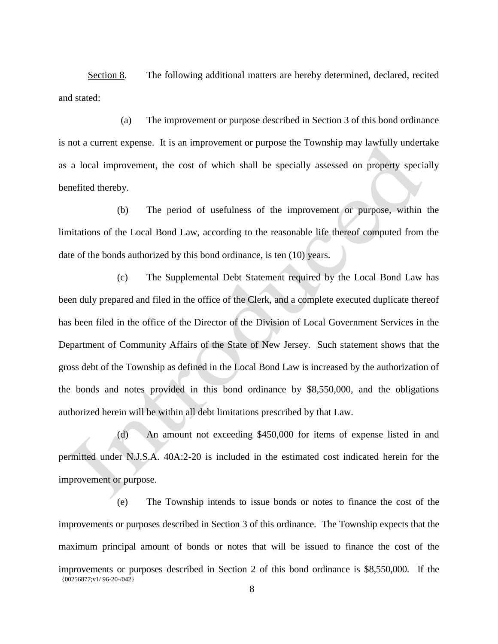Section 8. The following additional matters are hereby determined, declared, recited and stated:

(a) The improvement or purpose described in Section 3 of this bond ordinance is not a current expense. It is an improvement or purpose the Township may lawfully undertake as a local improvement, the cost of which shall be specially assessed on property specially benefited thereby.

(b) The period of usefulness of the improvement or purpose, within the limitations of the Local Bond Law, according to the reasonable life thereof computed from the date of the bonds authorized by this bond ordinance, is ten (10) years.

(c) The Supplemental Debt Statement required by the Local Bond Law has been duly prepared and filed in the office of the Clerk, and a complete executed duplicate thereof has been filed in the office of the Director of the Division of Local Government Services in the Department of Community Affairs of the State of New Jersey. Such statement shows that the gross debt of the Township as defined in the Local Bond Law is increased by the authorization of the bonds and notes provided in this bond ordinance by \$8,550,000, and the obligations authorized herein will be within all debt limitations prescribed by that Law.

(d) An amount not exceeding \$450,000 for items of expense listed in and permitted under N.J.S.A. 40A:2-20 is included in the estimated cost indicated herein for the improvement or purpose.

{00256877;v1/ 96-20-/042} (e) The Township intends to issue bonds or notes to finance the cost of the improvements or purposes described in Section 3 of this ordinance. The Township expects that the maximum principal amount of bonds or notes that will be issued to finance the cost of the improvements or purposes described in Section 2 of this bond ordinance is \$8,550,000. If the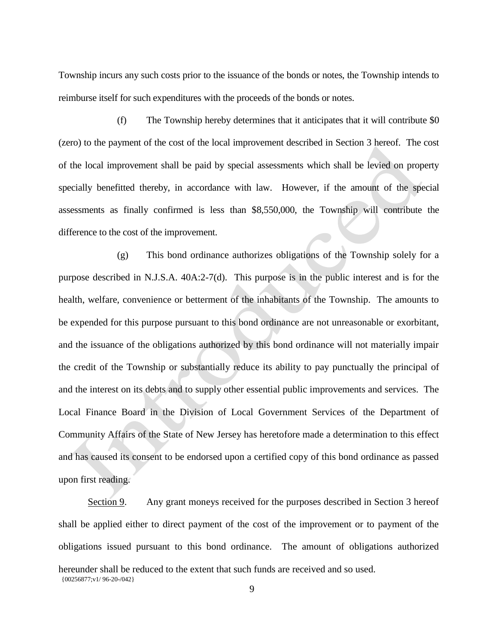Township incurs any such costs prior to the issuance of the bonds or notes, the Township intends to reimburse itself for such expenditures with the proceeds of the bonds or notes.

(f) The Township hereby determines that it anticipates that it will contribute \$0 (zero) to the payment of the cost of the local improvement described in Section 3 hereof. The cost of the local improvement shall be paid by special assessments which shall be levied on property specially benefitted thereby, in accordance with law. However, if the amount of the special assessments as finally confirmed is less than \$8,550,000, the Township will contribute the difference to the cost of the improvement.

(g) This bond ordinance authorizes obligations of the Township solely for a purpose described in N.J.S.A. 40A:2-7(d). This purpose is in the public interest and is for the health, welfare, convenience or betterment of the inhabitants of the Township. The amounts to be expended for this purpose pursuant to this bond ordinance are not unreasonable or exorbitant, and the issuance of the obligations authorized by this bond ordinance will not materially impair the credit of the Township or substantially reduce its ability to pay punctually the principal of and the interest on its debts and to supply other essential public improvements and services. The Local Finance Board in the Division of Local Government Services of the Department of Community Affairs of the State of New Jersey has heretofore made a determination to this effect and has caused its consent to be endorsed upon a certified copy of this bond ordinance as passed upon first reading.

{00256877;v1/ 96-20-/042} Section 9. Any grant moneys received for the purposes described in Section 3 hereof shall be applied either to direct payment of the cost of the improvement or to payment of the obligations issued pursuant to this bond ordinance. The amount of obligations authorized hereunder shall be reduced to the extent that such funds are received and so used.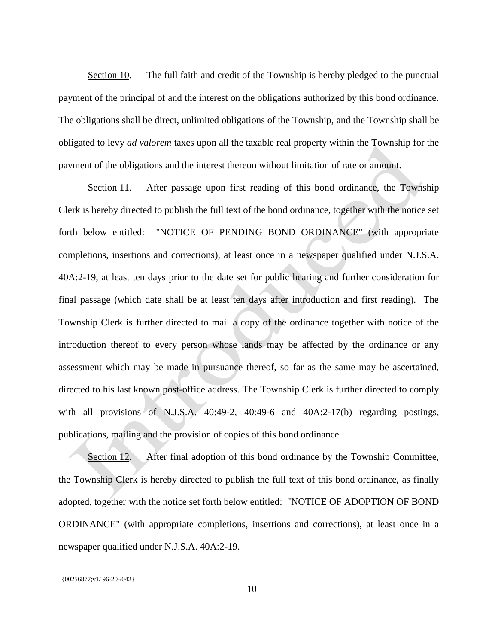Section 10. The full faith and credit of the Township is hereby pledged to the punctual payment of the principal of and the interest on the obligations authorized by this bond ordinance. The obligations shall be direct, unlimited obligations of the Township, and the Township shall be obligated to levy *ad valorem* taxes upon all the taxable real property within the Township for the payment of the obligations and the interest thereon without limitation of rate or amount.

Section 11. After passage upon first reading of this bond ordinance, the Township Clerk is hereby directed to publish the full text of the bond ordinance, together with the notice set forth below entitled: "NOTICE OF PENDING BOND ORDINANCE" (with appropriate completions, insertions and corrections), at least once in a newspaper qualified under N.J.S.A. 40A:2-19, at least ten days prior to the date set for public hearing and further consideration for final passage (which date shall be at least ten days after introduction and first reading). The Township Clerk is further directed to mail a copy of the ordinance together with notice of the introduction thereof to every person whose lands may be affected by the ordinance or any assessment which may be made in pursuance thereof, so far as the same may be ascertained, directed to his last known post-office address. The Township Clerk is further directed to comply with all provisions of N.J.S.A. 40:49-2, 40:49-6 and 40A:2-17(b) regarding postings, publications, mailing and the provision of copies of this bond ordinance.

Section 12. After final adoption of this bond ordinance by the Township Committee, the Township Clerk is hereby directed to publish the full text of this bond ordinance, as finally adopted, together with the notice set forth below entitled: "NOTICE OF ADOPTION OF BOND ORDINANCE" (with appropriate completions, insertions and corrections), at least once in a newspaper qualified under N.J.S.A. 40A:2-19.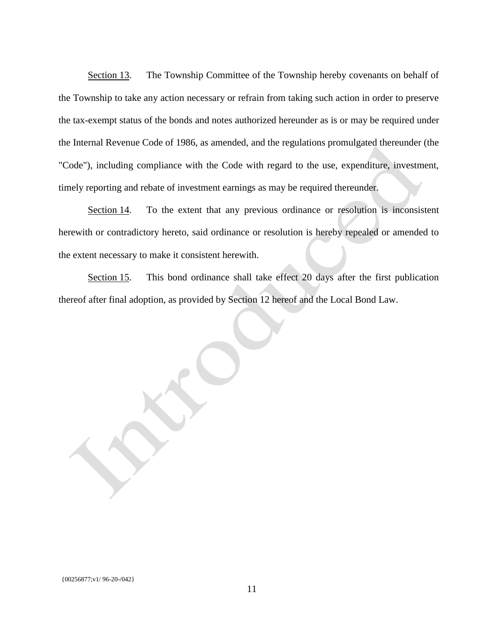Section 13. The Township Committee of the Township hereby covenants on behalf of the Township to take any action necessary or refrain from taking such action in order to preserve the tax-exempt status of the bonds and notes authorized hereunder as is or may be required under the Internal Revenue Code of 1986, as amended, and the regulations promulgated thereunder (the "Code"), including compliance with the Code with regard to the use, expenditure, investment, timely reporting and rebate of investment earnings as may be required thereunder.

Section 14. To the extent that any previous ordinance or resolution is inconsistent herewith or contradictory hereto, said ordinance or resolution is hereby repealed or amended to the extent necessary to make it consistent herewith.

Section 15. This bond ordinance shall take effect 20 days after the first publication thereof after final adoption, as provided by Section 12 hereof and the Local Bond Law.